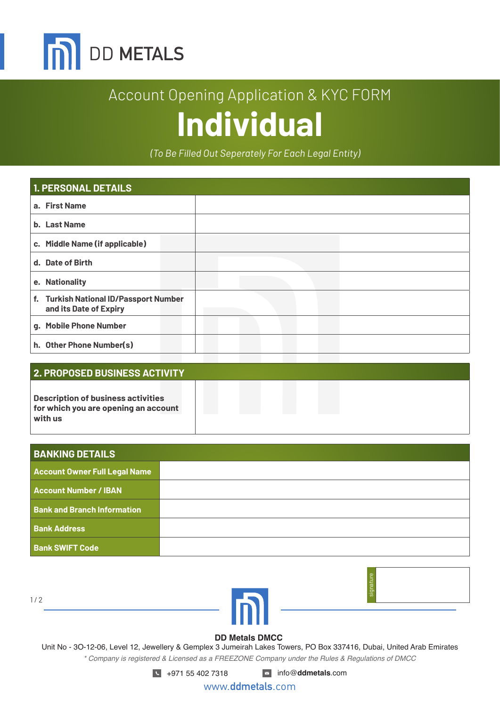

# Account Opening Application & KYC FORM **Individual**

*(To Be Filled Out Seperately For Each Legal Entity)*

| <b>1. PERSONAL DETAILS</b>                                       |  |  |  |
|------------------------------------------------------------------|--|--|--|
| a. First Name                                                    |  |  |  |
| <b>b.</b> Last Name                                              |  |  |  |
| c. Middle Name (if applicable)                                   |  |  |  |
| d. Date of Birth                                                 |  |  |  |
| e. Nationality                                                   |  |  |  |
| f. Turkish National ID/Passport Number<br>and its Date of Expiry |  |  |  |
| g. Mobile Phone Number                                           |  |  |  |
| h. Other Phone Number(s)                                         |  |  |  |

### **2. PROPOSED BUSINESS ACTIVITY**

**Description of business activities for which you are opening an account with us**

| <b>BANKING DETAILS</b>               |  |
|--------------------------------------|--|
| <b>Account Owner Full Legal Name</b> |  |
| <b>Account Number / IBAN</b>         |  |
| <b>Bank and Branch Information</b>   |  |
| <b>Bank Address</b>                  |  |
| <b>Bank SWIFT Code</b>               |  |

 $1/2$ 





#### **DD Metals DMCC**

Unit No - 3O-12-06, Level 12, Jewellery & Gemplex 3 Jumeirah Lakes Towers, PO Box 337416, Dubai, United Arab Emirates *\* Company is registered & Licensed as a FREEZONE Company under the Rules & Regulations of DMCC*

+971 55 402 7318 info@**ddmetals**.com

www.**ddmetals**.com